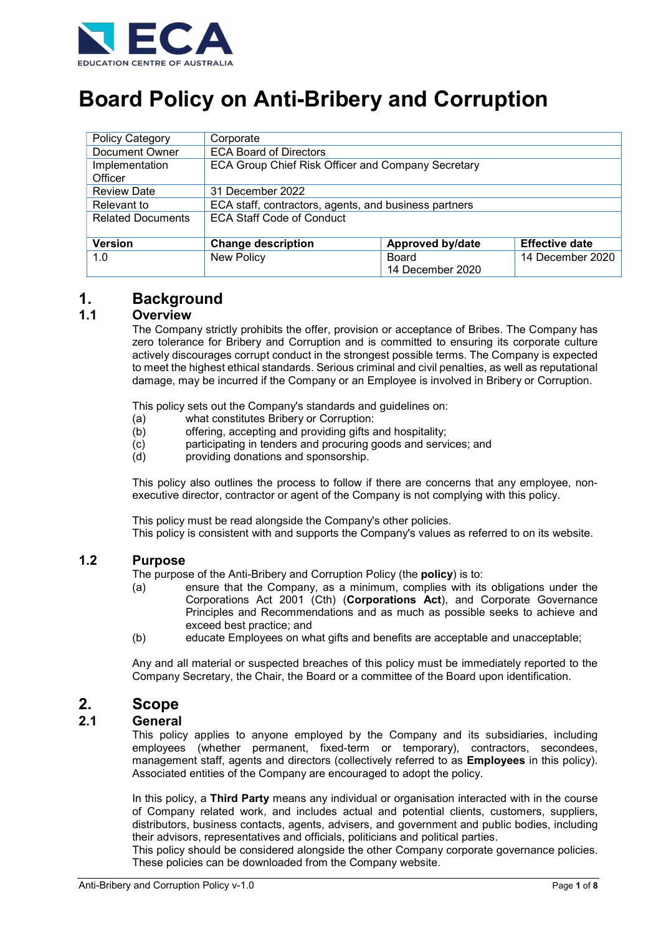

# Board Policy on Anti-Bribery and Corruption

| <b>Policy Category</b>    | Corporate                                             |                           |                       |
|---------------------------|-------------------------------------------------------|---------------------------|-----------------------|
| Document Owner            | <b>ECA Board of Directors</b>                         |                           |                       |
| Implementation<br>Officer | ECA Group Chief Risk Officer and Company Secretary    |                           |                       |
| <b>Review Date</b>        | 31 December 2022                                      |                           |                       |
| Relevant to               | ECA staff, contractors, agents, and business partners |                           |                       |
| <b>Related Documents</b>  | <b>ECA Staff Code of Conduct</b>                      |                           |                       |
| <b>Version</b>            | <b>Change description</b>                             | <b>Approved by/date</b>   | <b>Effective date</b> |
| 1.0                       | New Policy                                            | Board<br>14 December 2020 | 14 December 2020      |

# 1. Background

# 1.1 Overview

The Company strictly prohibits the offer, provision or acceptance of Bribes. The Company has zero tolerance for Bribery and Corruption and is committed to ensuring its corporate culture actively discourages corrupt conduct in the strongest possible terms. The Company is expected to meet the highest ethical standards. Serious criminal and civil penalties, as well as reputational damage, may be incurred if the Company or an Employee is involved in Bribery or Corruption.

This policy sets out the Company's standards and guidelines on:

- (a) what constitutes Bribery or Corruption:<br>(b) offering, accepting and providing gifts a
- offering, accepting and providing gifts and hospitality;
- (c) participating in tenders and procuring goods and services; and
- (d) providing donations and sponsorship.

This policy also outlines the process to follow if there are concerns that any employee, nonexecutive director, contractor or agent of the Company is not complying with this policy.

This policy must be read alongside the Company's other policies. This policy is consistent with and supports the Company's values as referred to on its website.

### 1.2 Purpose

The purpose of the Anti-Bribery and Corruption Policy (the policy) is to:

- (a) ensure that the Company, as a minimum, complies with its obligations under the Corporations Act 2001 (Cth) (Corporations Act), and Corporate Governance Principles and Recommendations and as much as possible seeks to achieve and exceed best practice; and
- (b) educate Employees on what gifts and benefits are acceptable and unacceptable;

Any and all material or suspected breaches of this policy must be immediately reported to the Company Secretary, the Chair, the Board or a committee of the Board upon identification.

# 2. Scope

### 2.1 General

This policy applies to anyone employed by the Company and its subsidiaries, including employees (whether permanent, fixed-term or temporary), contractors, secondees, management staff, agents and directors (collectively referred to as **Employees** in this policy). Associated entities of the Company are encouraged to adopt the policy.

In this policy, a Third Party means any individual or organisation interacted with in the course of Company related work, and includes actual and potential clients, customers, suppliers, distributors, business contacts, agents, advisers, and government and public bodies, including their advisors, representatives and officials, politicians and political parties.

This policy should be considered alongside the other Company corporate governance policies. These policies can be downloaded from the Company website.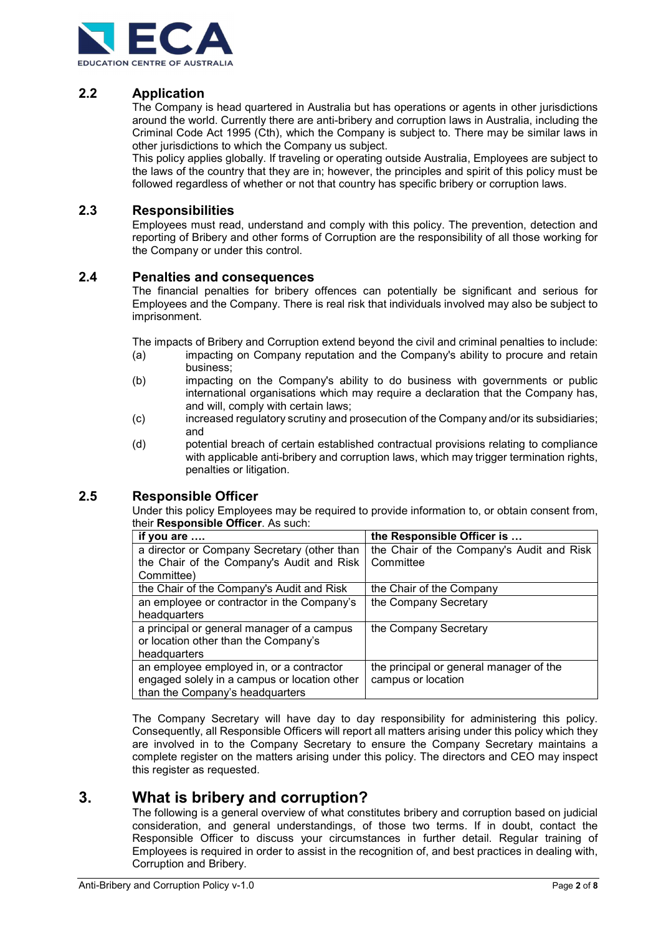

# 2.2 Application

The Company is head quartered in Australia but has operations or agents in other jurisdictions around the world. Currently there are anti-bribery and corruption laws in Australia, including the Criminal Code Act 1995 (Cth), which the Company is subject to. There may be similar laws in other jurisdictions to which the Company us subject.

This policy applies globally. If traveling or operating outside Australia, Employees are subject to the laws of the country that they are in; however, the principles and spirit of this policy must be followed regardless of whether or not that country has specific bribery or corruption laws.

### 2.3 Responsibilities

Employees must read, understand and comply with this policy. The prevention, detection and reporting of Bribery and other forms of Corruption are the responsibility of all those working for the Company or under this control.

### 2.4 Penalties and consequences

The financial penalties for bribery offences can potentially be significant and serious for Employees and the Company. There is real risk that individuals involved may also be subject to imprisonment.

The impacts of Bribery and Corruption extend beyond the civil and criminal penalties to include:

- (a) impacting on Company reputation and the Company's ability to procure and retain business;
- (b) impacting on the Company's ability to do business with governments or public international organisations which may require a declaration that the Company has, and will, comply with certain laws;
- (c) increased regulatory scrutiny and prosecution of the Company and/or its subsidiaries; and
- (d) potential breach of certain established contractual provisions relating to compliance with applicable anti-bribery and corruption laws, which may trigger termination rights, penalties or litigation.

### 2.5 Responsible Officer

Under this policy Employees may be required to provide information to, or obtain consent from, their Responsible Officer. As such:

| if you are                                   | the Responsible Officer is                |
|----------------------------------------------|-------------------------------------------|
| a director or Company Secretary (other than  | the Chair of the Company's Audit and Risk |
| the Chair of the Company's Audit and Risk    | Committee                                 |
| Committee)                                   |                                           |
| the Chair of the Company's Audit and Risk    | the Chair of the Company                  |
| an employee or contractor in the Company's   | the Company Secretary                     |
| headquarters                                 |                                           |
| a principal or general manager of a campus   | the Company Secretary                     |
| or location other than the Company's         |                                           |
| headquarters                                 |                                           |
| an employee employed in, or a contractor     | the principal or general manager of the   |
| engaged solely in a campus or location other | campus or location                        |
| than the Company's headquarters              |                                           |

The Company Secretary will have day to day responsibility for administering this policy. Consequently, all Responsible Officers will report all matters arising under this policy which they are involved in to the Company Secretary to ensure the Company Secretary maintains a complete register on the matters arising under this policy. The directors and CEO may inspect this register as requested.

# 3. What is bribery and corruption?

The following is a general overview of what constitutes bribery and corruption based on judicial consideration, and general understandings, of those two terms. If in doubt, contact the Responsible Officer to discuss your circumstances in further detail. Regular training of Employees is required in order to assist in the recognition of, and best practices in dealing with, Corruption and Bribery.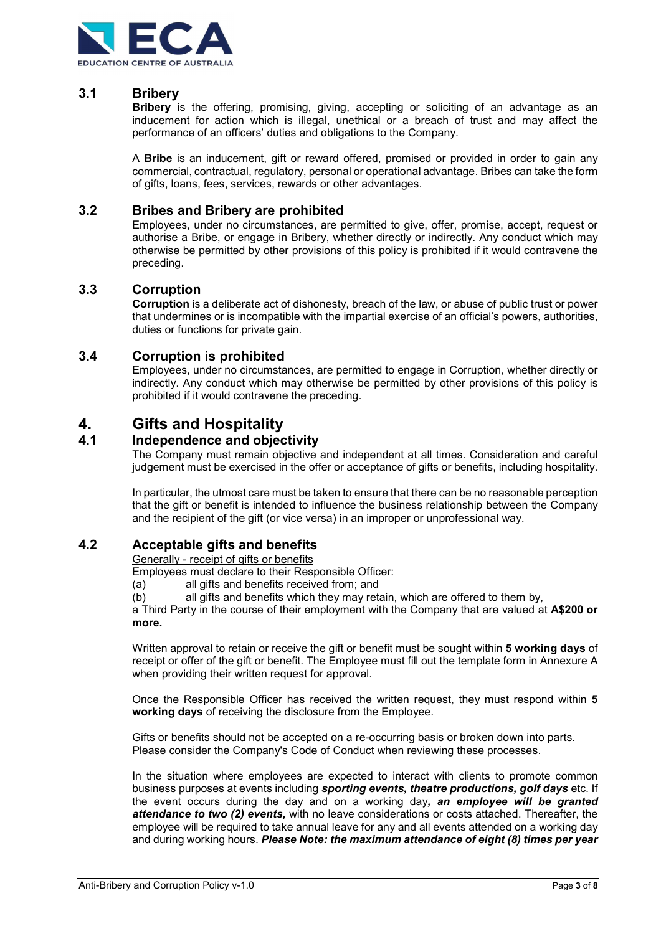

# 3.1 Bribery

**Bribery** is the offering, promising, giving, accepting or soliciting of an advantage as an inducement for action which is illegal, unethical or a breach of trust and may affect the performance of an officers' duties and obligations to the Company.

A **Bribe** is an inducement, gift or reward offered, promised or provided in order to gain any commercial, contractual, regulatory, personal or operational advantage. Bribes can take the form of gifts, loans, fees, services, rewards or other advantages.

### 3.2 Bribes and Bribery are prohibited

Employees, under no circumstances, are permitted to give, offer, promise, accept, request or authorise a Bribe, or engage in Bribery, whether directly or indirectly. Any conduct which may otherwise be permitted by other provisions of this policy is prohibited if it would contravene the preceding.

### 3.3 Corruption

Corruption is a deliberate act of dishonesty, breach of the law, or abuse of public trust or power that undermines or is incompatible with the impartial exercise of an official's powers, authorities, duties or functions for private gain.

### 3.4 Corruption is prohibited

Employees, under no circumstances, are permitted to engage in Corruption, whether directly or indirectly. Any conduct which may otherwise be permitted by other provisions of this policy is prohibited if it would contravene the preceding.

# 4. Gifts and Hospitality

### 4.1 Independence and objectivity

The Company must remain objective and independent at all times. Consideration and careful judgement must be exercised in the offer or acceptance of gifts or benefits, including hospitality.

In particular, the utmost care must be taken to ensure that there can be no reasonable perception that the gift or benefit is intended to influence the business relationship between the Company and the recipient of the gift (or vice versa) in an improper or unprofessional way.

### 4.2 Acceptable gifts and benefits

Generally - receipt of gifts or benefits

Employees must declare to their Responsible Officer:

(a) all gifts and benefits received from; and

(b) all gifts and benefits which they may retain, which are offered to them by,

a Third Party in the course of their employment with the Company that are valued at A\$200 or more.

Written approval to retain or receive the gift or benefit must be sought within 5 working days of receipt or offer of the gift or benefit. The Employee must fill out the template form in Annexure A when providing their written request for approval.

Once the Responsible Officer has received the written request, they must respond within 5 working days of receiving the disclosure from the Employee.

Gifts or benefits should not be accepted on a re-occurring basis or broken down into parts. Please consider the Company's Code of Conduct when reviewing these processes.

In the situation where employees are expected to interact with clients to promote common business purposes at events including *sporting events, theatre productions, golf days* etc. If the event occurs during the day and on a working day, an employee will be granted attendance to two (2) events, with no leave considerations or costs attached. Thereafter, the employee will be required to take annual leave for any and all events attended on a working day and during working hours. Please Note: the maximum attendance of eight (8) times per year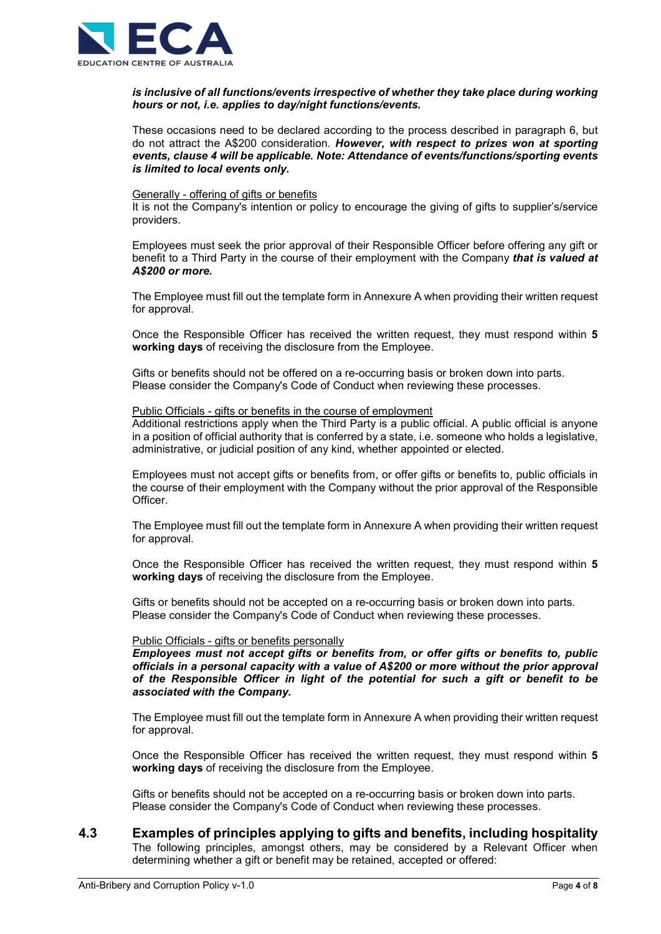

#### is inclusive of all functions/events irrespective of whether they take place during working hours or not, i.e. applies to day/night functions/events.

These occasions need to be declared according to the process described in paragraph 6, but do not attract the A\$200 consideration. However, with respect to prizes won at sporting events, clause 4 will be applicable. Note: Attendance of events/functions/sporting events is limited to local events only.

#### Generally - offering of gifts or benefits

It is not the Company's intention or policy to encourage the giving of gifts to supplier's/service providers.

Employees must seek the prior approval of their Responsible Officer before offering any gift or benefit to a Third Party in the course of their employment with the Company that is valued at A\$200 or more.

The Employee must fill out the template form in Annexure A when providing their written request for approval.

Once the Responsible Officer has received the written request, they must respond within 5 working days of receiving the disclosure from the Employee.

Gifts or benefits should not be offered on a re-occurring basis or broken down into parts. Please consider the Company's Code of Conduct when reviewing these processes.

#### Public Officials - gifts or benefits in the course of employment

Additional restrictions apply when the Third Party is a public official. A public official is anyone in a position of official authority that is conferred by a state, i.e. someone who holds a legislative, administrative, or judicial position of any kind, whether appointed or elected.

Employees must not accept gifts or benefits from, or offer gifts or benefits to, public officials in the course of their employment with the Company without the prior approval of the Responsible Officer.

The Employee must fill out the template form in Annexure A when providing their written request for approval.

Once the Responsible Officer has received the written request, they must respond within 5 working days of receiving the disclosure from the Employee.

Gifts or benefits should not be accepted on a re-occurring basis or broken down into parts. Please consider the Company's Code of Conduct when reviewing these processes.

#### Public Officials - gifts or benefits personally

Employees must not accept gifts or benefits from, or offer gifts or benefits to, public officials in a personal capacity with a value of A\$200 or more without the prior approval of the Responsible Officer in light of the potential for such a gift or benefit to be associated with the Company.

The Employee must fill out the template form in Annexure A when providing their written request for approval.

Once the Responsible Officer has received the written request, they must respond within 5 working days of receiving the disclosure from the Employee.

Gifts or benefits should not be accepted on a re-occurring basis or broken down into parts. Please consider the Company's Code of Conduct when reviewing these processes.

### 4.3 Examples of principles applying to gifts and benefits, including hospitality

The following principles, amongst others, may be considered by a Relevant Officer when determining whether a gift or benefit may be retained, accepted or offered: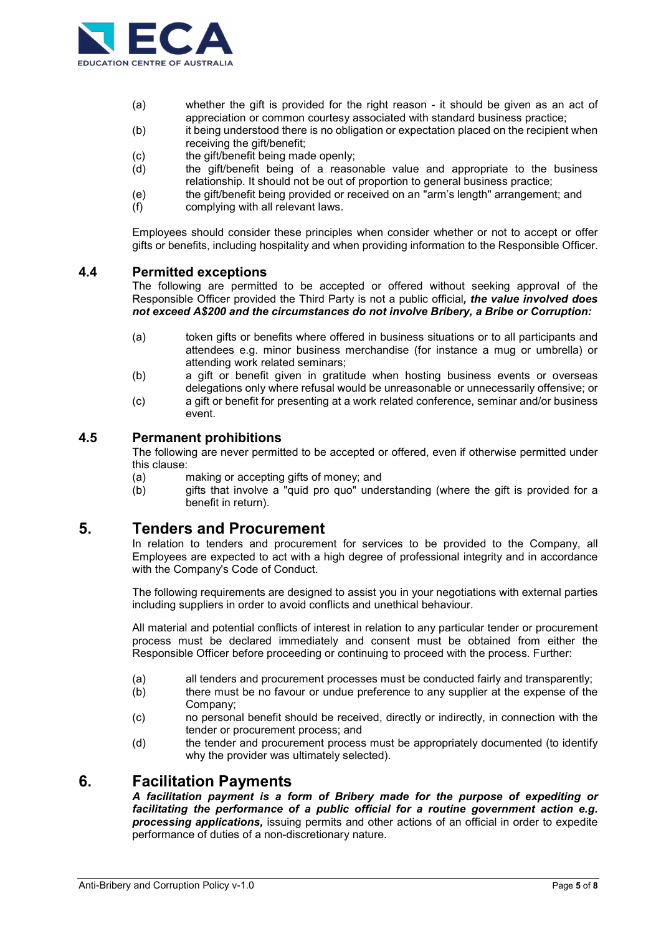

- (a) whether the gift is provided for the right reason it should be given as an act of appreciation or common courtesy associated with standard business practice;
- (b) it being understood there is no obligation or expectation placed on the recipient when receiving the gift/benefit;
- (c) the gift/benefit being made openly;
- (d) the gift/benefit being of a reasonable value and appropriate to the business relationship. It should not be out of proportion to general business practice;
- (e) the gift/benefit being provided or received on an "arm's length" arrangement; and
- (f) complying with all relevant laws.

Employees should consider these principles when consider whether or not to accept or offer gifts or benefits, including hospitality and when providing information to the Responsible Officer.

### 4.4 Permitted exceptions

The following are permitted to be accepted or offered without seeking approval of the Responsible Officer provided the Third Party is not a public official, the value involved does not exceed A\$200 and the circumstances do not involve Bribery, a Bribe or Corruption:

- (a) token gifts or benefits where offered in business situations or to all participants and attendees e.g. minor business merchandise (for instance a mug or umbrella) or attending work related seminars;
- (b) a gift or benefit given in gratitude when hosting business events or overseas delegations only where refusal would be unreasonable or unnecessarily offensive; or
- (c) a gift or benefit for presenting at a work related conference, seminar and/or business event.

### 4.5 Permanent prohibitions

The following are never permitted to be accepted or offered, even if otherwise permitted under this clause:

- (a) making or accepting gifts of money; and
- (b) gifts that involve a "quid pro quo" understanding (where the gift is provided for a benefit in return).

# 5. Tenders and Procurement

In relation to tenders and procurement for services to be provided to the Company, all Employees are expected to act with a high degree of professional integrity and in accordance with the Company's Code of Conduct.

The following requirements are designed to assist you in your negotiations with external parties including suppliers in order to avoid conflicts and unethical behaviour.

All material and potential conflicts of interest in relation to any particular tender or procurement process must be declared immediately and consent must be obtained from either the Responsible Officer before proceeding or continuing to proceed with the process. Further:

- (a) all tenders and procurement processes must be conducted fairly and transparently;
- (b) there must be no favour or undue preference to any supplier at the expense of the Company;
- (c) no personal benefit should be received, directly or indirectly, in connection with the tender or procurement process; and
- (d) the tender and procurement process must be appropriately documented (to identify why the provider was ultimately selected).

# 6. Facilitation Payments

A facilitation payment is a form of Bribery made for the purpose of expediting or facilitating the performance of a public official for a routine government action e.g. **processing applications**, issuing permits and other actions of an official in order to expedite performance of duties of a non-discretionary nature.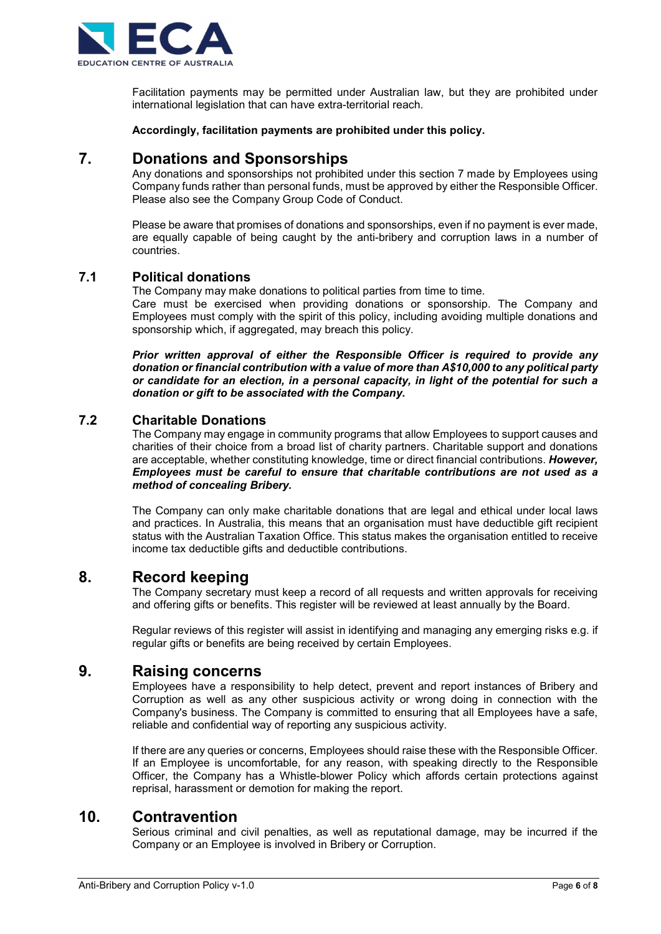

Facilitation payments may be permitted under Australian law, but they are prohibited under international legislation that can have extra-territorial reach.

Accordingly, facilitation payments are prohibited under this policy.

# 7. Donations and Sponsorships

Any donations and sponsorships not prohibited under this section 7 made by Employees using Company funds rather than personal funds, must be approved by either the Responsible Officer. Please also see the Company Group Code of Conduct.

Please be aware that promises of donations and sponsorships, even if no payment is ever made, are equally capable of being caught by the anti-bribery and corruption laws in a number of countries.

### 7.1 Political donations

The Company may make donations to political parties from time to time.

Care must be exercised when providing donations or sponsorship. The Company and Employees must comply with the spirit of this policy, including avoiding multiple donations and sponsorship which, if aggregated, may breach this policy.

Prior written approval of either the Responsible Officer is required to provide any donation or financial contribution with a value of more than A\$10,000 to any political party or candidate for an election, in a personal capacity, in light of the potential for such a donation or gift to be associated with the Company.

# 7.2 Charitable Donations

The Company may engage in community programs that allow Employees to support causes and charities of their choice from a broad list of charity partners. Charitable support and donations are acceptable, whether constituting knowledge, time or direct financial contributions. However, Employees must be careful to ensure that charitable contributions are not used as a method of concealing Bribery.

The Company can only make charitable donations that are legal and ethical under local laws and practices. In Australia, this means that an organisation must have deductible gift recipient status with the Australian Taxation Office. This status makes the organisation entitled to receive income tax deductible gifts and deductible contributions.

# 8. Record keeping

The Company secretary must keep a record of all requests and written approvals for receiving and offering gifts or benefits. This register will be reviewed at least annually by the Board.

Regular reviews of this register will assist in identifying and managing any emerging risks e.g. if regular gifts or benefits are being received by certain Employees.

# 9. Raising concerns

Employees have a responsibility to help detect, prevent and report instances of Bribery and Corruption as well as any other suspicious activity or wrong doing in connection with the Company's business. The Company is committed to ensuring that all Employees have a safe, reliable and confidential way of reporting any suspicious activity.

If there are any queries or concerns, Employees should raise these with the Responsible Officer. If an Employee is uncomfortable, for any reason, with speaking directly to the Responsible Officer, the Company has a Whistle-blower Policy which affords certain protections against reprisal, harassment or demotion for making the report.

# 10. Contravention

Serious criminal and civil penalties, as well as reputational damage, may be incurred if the Company or an Employee is involved in Bribery or Corruption.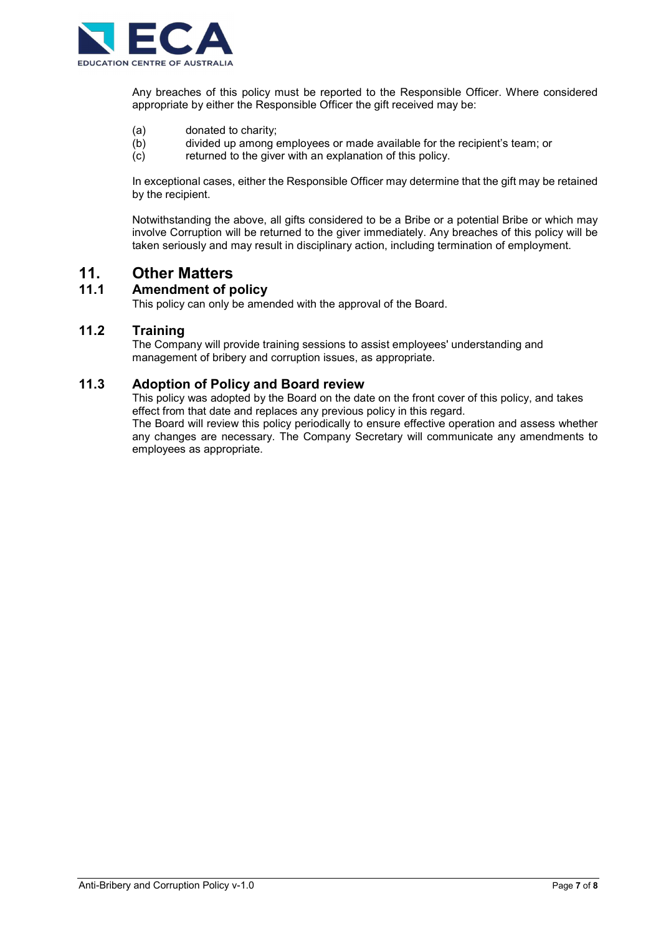

Any breaches of this policy must be reported to the Responsible Officer. Where considered appropriate by either the Responsible Officer the gift received may be:

- (a) donated to charity;
- (b) divided up among employees or made available for the recipient's team; or
- (c) returned to the giver with an explanation of this policy.

In exceptional cases, either the Responsible Officer may determine that the gift may be retained by the recipient.

Notwithstanding the above, all gifts considered to be a Bribe or a potential Bribe or which may involve Corruption will be returned to the giver immediately. Any breaches of this policy will be taken seriously and may result in disciplinary action, including termination of employment.

# 11. Other Matters

# 11.1 Amendment of policy

This policy can only be amended with the approval of the Board.

# 11.2 Training

The Company will provide training sessions to assist employees' understanding and management of bribery and corruption issues, as appropriate.

# 11.3 Adoption of Policy and Board review

This policy was adopted by the Board on the date on the front cover of this policy, and takes effect from that date and replaces any previous policy in this regard.

The Board will review this policy periodically to ensure effective operation and assess whether any changes are necessary. The Company Secretary will communicate any amendments to employees as appropriate.